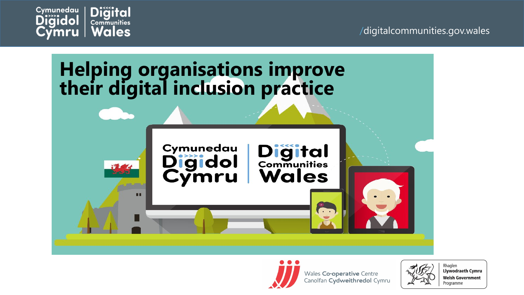







Wales Co-operative Centre Canolfan Cydweithredol Cymru



**Llywodraeth Cymru Welsh Government** Programme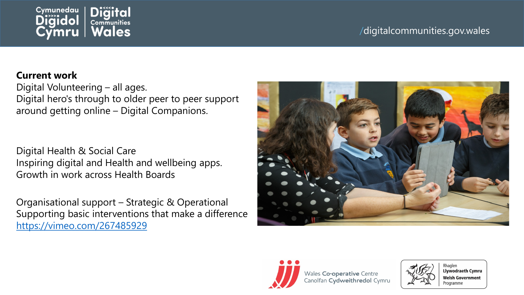

### /digitalcommunities.gov.wales

#### **Current work**

Digital Volunteering – all ages. Digital hero's through to older peer to peer support around getting online – Digital Companions.

Digital Health & Social Care Inspiring digital and Health and wellbeing apps. Growth in work across Health Boards

Organisational support – Strategic & Operational Supporting basic interventions that make a difference <https://vimeo.com/267485929>







Rhaglen **Llywodraeth Cymru Welsh Government** Programme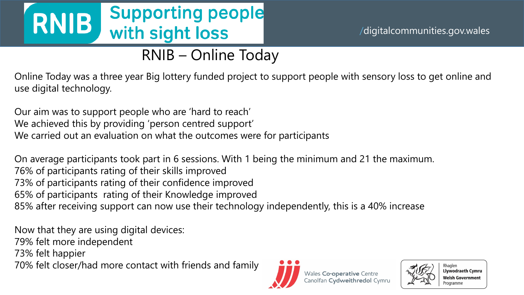# **RNIB** Supporting people<br>with sight loss

## /digitalcommunities.gov.wales

## RNIB – Online Today

Online Today was a three year Big lottery funded project to support people with sensory loss to get online and use digital technology.

Our aim was to support people who are 'hard to reach' We achieved this by providing 'person centred support' We carried out an evaluation on what the outcomes were for participants

On average participants took part in 6 sessions. With 1 being the minimum and 21 the maximum. 76% of participants rating of their skills improved 73% of participants rating of their confidence improved 65% of participants rating of their Knowledge improved 85% after receiving support can now use their technology independently, this is a 40% increase

Now that they are using digital devices: 79% felt more independent 73% felt happier 70% felt closer/had more contact with friends and family





Rhaglen **Llywodraeth Cymru Welsh Government** Programm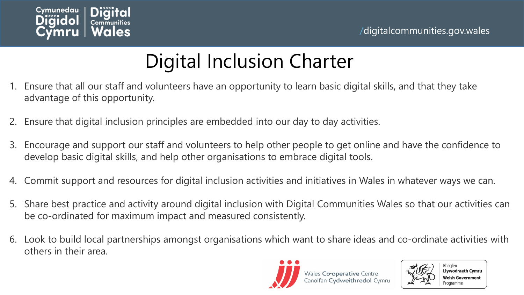

## Digital Inclusion Charter

- 1. Ensure that all our staff and volunteers have an opportunity to learn basic digital skills, and that they take advantage of this opportunity.
- 2. Ensure that digital inclusion principles are embedded into our day to day activities.
- 3. Encourage and support our staff and volunteers to help other people to get online and have the confidence to develop basic digital skills, and help other organisations to embrace digital tools.
- 4. Commit support and resources for digital inclusion activities and initiatives in Wales in whatever ways we can.
- 5. Share best practice and activity around digital inclusion with Digital Communities Wales so that our activities can be co-ordinated for maximum impact and measured consistently.
- 6. Look to build local partnerships amongst organisations which want to share ideas and co-ordinate activities with others in their area.





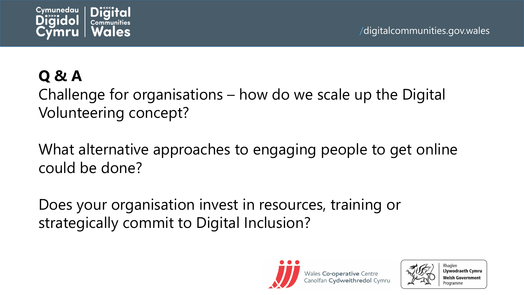

## **Q & A**

Challenge for organisations – how do we scale up the Digital Volunteering concept?

What alternative approaches to engaging people to get online could be done?

Does your organisation invest in resources, training or strategically commit to Digital Inclusion?